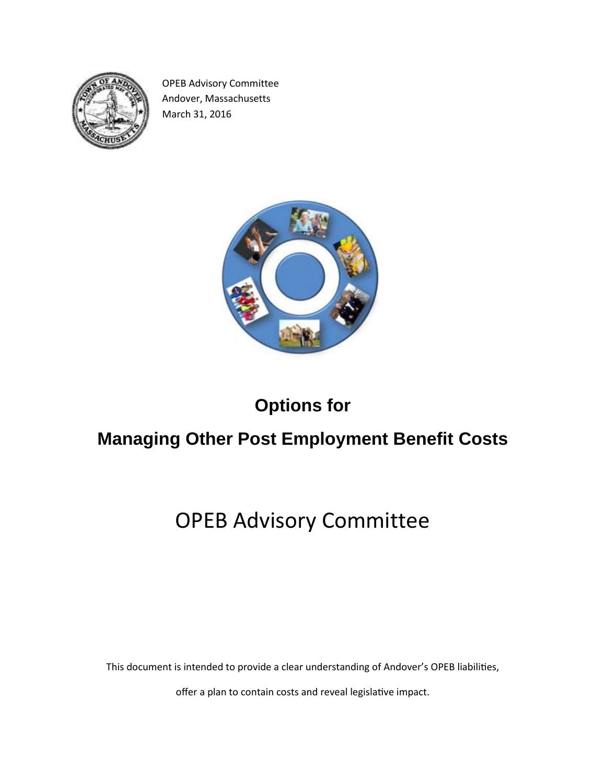

OPEB Advisory Committee Andover, Massachusetts March 31, 2016



## **Options for**

## **Managing Other Post Employment Benefit Costs**

# OPEB Advisory Committee

This document is intended to provide a clear understanding of Andover's OPEB liabilities,

offer a plan to contain costs and reveal legislative impact.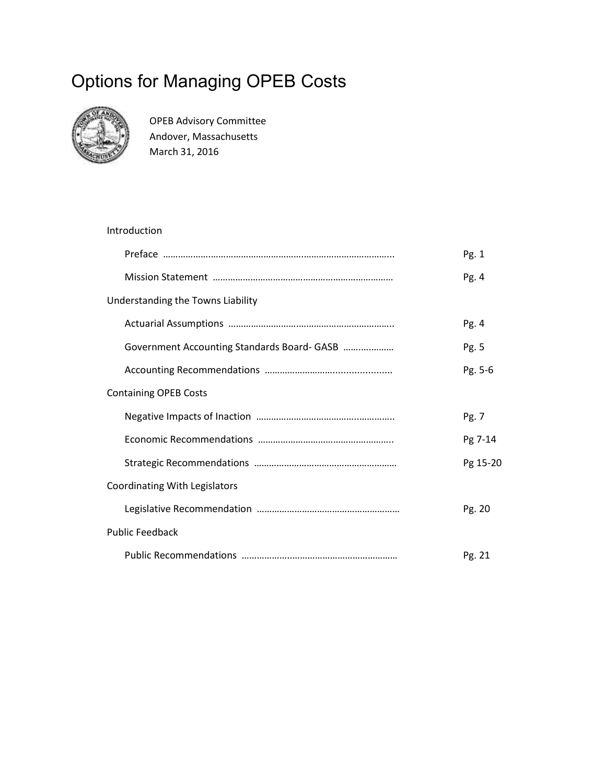## Options for Managing OPEB Costs



OPEB Advisory Committee Andover, Massachusetts March 31, 2016

## Introduction Preface ……………….……………………………….……………………………... Pg. 1 Mission Statement ……………………………………………………………… Pg. 4 Understanding the Towns Liability Actuarial Assumptions ……………………….……………………………….. Pg. 4 Government Accounting Standards Board- GASB …….….……… Pg. 5 Accounting Recommendations ………………………...................... Pg. 5-6 Containing OPEB Costs Negative Impacts of Inaction …………………………………..………….. Pg. 7 Economic Recommendations ………………………………….………….. Pg 7-14 Strategic Recommendations ………………………………………………… Pg 15-20 Coordinating With Legislators Legislative Recommendation ………………………………………………… Pg. 20 Public Feedback Public Recommendations ………………..…………………………………… Pg. 21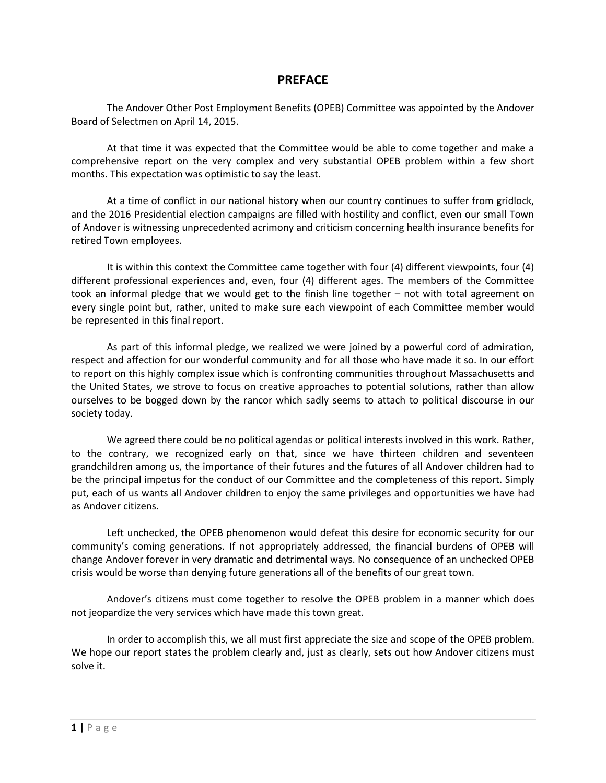## **PREFACE**

The Andover Other Post Employment Benefits (OPEB) Committee was appointed by the Andover Board of Selectmen on April 14, 2015.

At that time it was expected that the Committee would be able to come together and make a comprehensive report on the very complex and very substantial OPEB problem within a few short months. This expectation was optimistic to say the least.

At a time of conflict in our national history when our country continues to suffer from gridlock, and the 2016 Presidential election campaigns are filled with hostility and conflict, even our small Town of Andover is witnessing unprecedented acrimony and criticism concerning health insurance benefits for retired Town employees.

It is within this context the Committee came together with four (4) different viewpoints, four (4) different professional experiences and, even, four (4) different ages. The members of the Committee took an informal pledge that we would get to the finish line together – not with total agreement on every single point but, rather, united to make sure each viewpoint of each Committee member would be represented in this final report.

As part of this informal pledge, we realized we were joined by a powerful cord of admiration, respect and affection for our wonderful community and for all those who have made it so. In our effort to report on this highly complex issue which is confronting communities throughout Massachusetts and the United States, we strove to focus on creative approaches to potential solutions, rather than allow ourselves to be bogged down by the rancor which sadly seems to attach to political discourse in our society today.

We agreed there could be no political agendas or political interests involved in this work. Rather, to the contrary, we recognized early on that, since we have thirteen children and seventeen grandchildren among us, the importance of their futures and the futures of all Andover children had to be the principal impetus for the conduct of our Committee and the completeness of this report. Simply put, each of us wants all Andover children to enjoy the same privileges and opportunities we have had as Andover citizens.

Left unchecked, the OPEB phenomenon would defeat this desire for economic security for our community's coming generations. If not appropriately addressed, the financial burdens of OPEB will change Andover forever in very dramatic and detrimental ways. No consequence of an unchecked OPEB crisis would be worse than denying future generations all of the benefits of our great town.

Andover's citizens must come together to resolve the OPEB problem in a manner which does not jeopardize the very services which have made this town great.

In order to accomplish this, we all must first appreciate the size and scope of the OPEB problem. We hope our report states the problem clearly and, just as clearly, sets out how Andover citizens must solve it.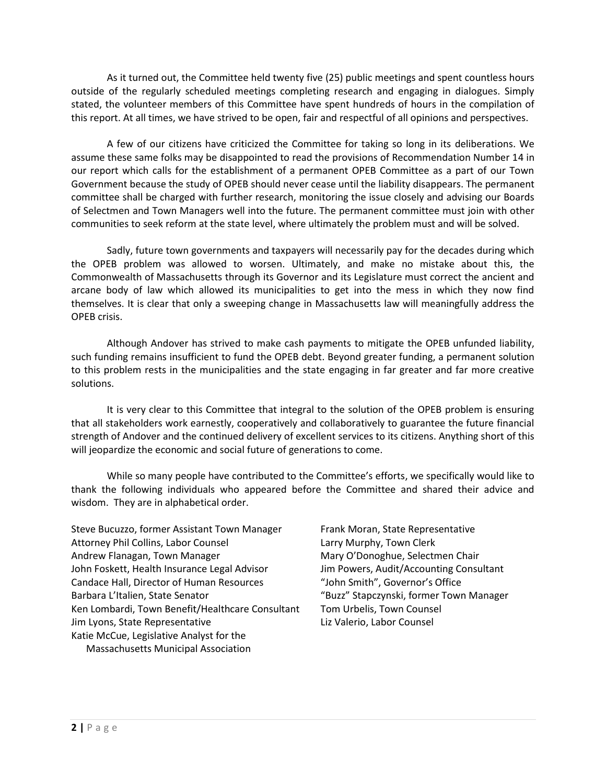As it turned out, the Committee held twenty five (25) public meetings and spent countless hours outside of the regularly scheduled meetings completing research and engaging in dialogues. Simply stated, the volunteer members of this Committee have spent hundreds of hours in the compilation of this report. At all times, we have strived to be open, fair and respectful of all opinions and perspectives.

A few of our citizens have criticized the Committee for taking so long in its deliberations. We assume these same folks may be disappointed to read the provisions of Recommendation Number 14 in our report which calls for the establishment of a permanent OPEB Committee as a part of our Town Government because the study of OPEB should never cease until the liability disappears. The permanent committee shall be charged with further research, monitoring the issue closely and advising our Boards of Selectmen and Town Managers well into the future. The permanent committee must join with other communities to seek reform at the state level, where ultimately the problem must and will be solved.

Sadly, future town governments and taxpayers will necessarily pay for the decades during which the OPEB problem was allowed to worsen. Ultimately, and make no mistake about this, the Commonwealth of Massachusetts through its Governor and its Legislature must correct the ancient and arcane body of law which allowed its municipalities to get into the mess in which they now find themselves. It is clear that only a sweeping change in Massachusetts law will meaningfully address the OPEB crisis.

Although Andover has strived to make cash payments to mitigate the OPEB unfunded liability, such funding remains insufficient to fund the OPEB debt. Beyond greater funding, a permanent solution to this problem rests in the municipalities and the state engaging in far greater and far more creative solutions.

It is very clear to this Committee that integral to the solution of the OPEB problem is ensuring that all stakeholders work earnestly, cooperatively and collaboratively to guarantee the future financial strength of Andover and the continued delivery of excellent services to its citizens. Anything short of this will jeopardize the economic and social future of generations to come.

While so many people have contributed to the Committee's efforts, we specifically would like to thank the following individuals who appeared before the Committee and shared their advice and wisdom. They are in alphabetical order.

- Steve Bucuzzo, former Assistant Town Manager Frank Moran, State Representative Attorney Phil Collins, Labor Counsel **Lack Connect Larry Murphy, Town Clerk** Andrew Flanagan, Town Manager Mary O'Donoghue, Selectmen Chair John Foskett, Health Insurance Legal Advisor Jim Powers, Audit/Accounting Consultant Candace Hall, Director of Human Resources "John Smith", Governor's Office Barbara L'Italien, State Senator "Buzz" Stapczynski, former Town Manager Ken Lombardi, Town Benefit/Healthcare Consultant Tom Urbelis, Town Counsel Jim Lyons, State Representative Liz Valerio, Labor Counsel Katie McCue, Legislative Analyst for the Massachusetts Municipal Association
	-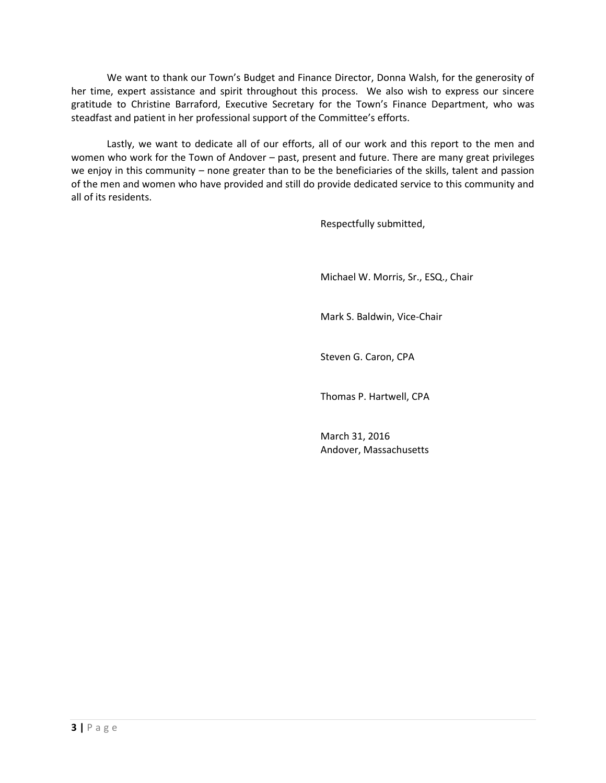We want to thank our Town's Budget and Finance Director, Donna Walsh, for the generosity of her time, expert assistance and spirit throughout this process. We also wish to express our sincere gratitude to Christine Barraford, Executive Secretary for the Town's Finance Department, who was steadfast and patient in her professional support of the Committee's efforts.

Lastly, we want to dedicate all of our efforts, all of our work and this report to the men and women who work for the Town of Andover – past, present and future. There are many great privileges we enjoy in this community – none greater than to be the beneficiaries of the skills, talent and passion of the men and women who have provided and still do provide dedicated service to this community and all of its residents.

Respectfully submitted,

Michael W. Morris, Sr., ESQ., Chair

Mark S. Baldwin, Vice-Chair

Steven G. Caron, CPA

Thomas P. Hartwell, CPA

March 31, 2016 Andover, Massachusetts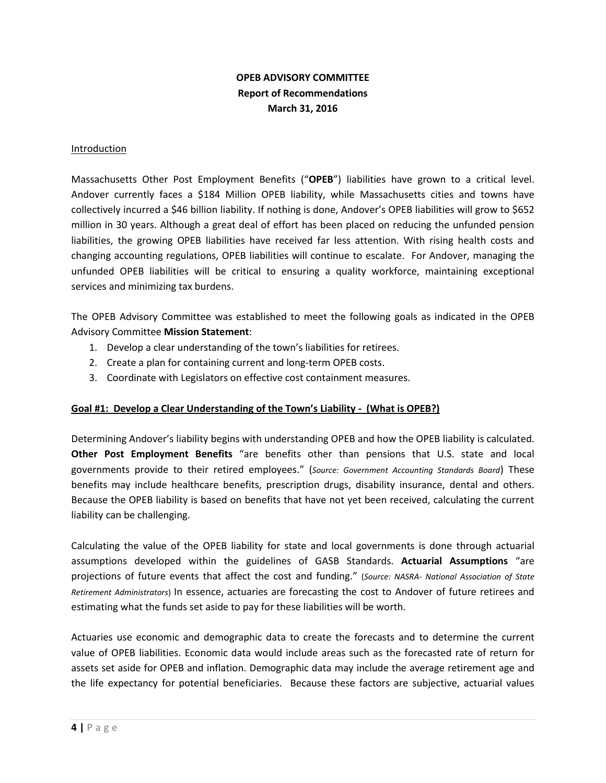## **OPEB ADVISORY COMMITTEE Report of Recommendations March 31, 2016**

#### Introduction

Massachusetts Other Post Employment Benefits ("**OPEB**") liabilities have grown to a critical level. Andover currently faces a \$184 Million OPEB liability, while Massachusetts cities and towns have collectively incurred a \$46 billion liability. If nothing is done, Andover's OPEB liabilities will grow to \$652 million in 30 years. Although a great deal of effort has been placed on reducing the unfunded pension liabilities, the growing OPEB liabilities have received far less attention. With rising health costs and changing accounting regulations, OPEB liabilities will continue to escalate. For Andover, managing the unfunded OPEB liabilities will be critical to ensuring a quality workforce, maintaining exceptional services and minimizing tax burdens.

The OPEB Advisory Committee was established to meet the following goals as indicated in the OPEB Advisory Committee **Mission Statement**:

- 1. Develop a clear understanding of the town's liabilities for retirees.
- 2. Create a plan for containing current and long-term OPEB costs.
- 3. Coordinate with Legislators on effective cost containment measures.

#### **Goal #1: Develop a Clear Understanding of the Town's Liability - (What is OPEB?)**

Determining Andover's liability begins with understanding OPEB and how the OPEB liability is calculated. **Other Post Employment Benefits** "are benefits other than pensions that U.S. state and local governments provide to their retired employees." (*Source: Government Accounting Standards Board*) These benefits may include healthcare benefits, prescription drugs, disability insurance, dental and others. Because the OPEB liability is based on benefits that have not yet been received, calculating the current liability can be challenging.

Calculating the value of the OPEB liability for state and local governments is done through actuarial assumptions developed within the guidelines of GASB Standards. **Actuarial Assumptions** "are projections of future events that affect the cost and funding." (*Source: NASRA- National Association of State Retirement Administrators*) In essence, actuaries are forecasting the cost to Andover of future retirees and estimating what the funds set aside to pay for these liabilities will be worth.

Actuaries use economic and demographic data to create the forecasts and to determine the current value of OPEB liabilities. Economic data would include areas such as the forecasted rate of return for assets set aside for OPEB and inflation. Demographic data may include the average retirement age and the life expectancy for potential beneficiaries. Because these factors are subjective, actuarial values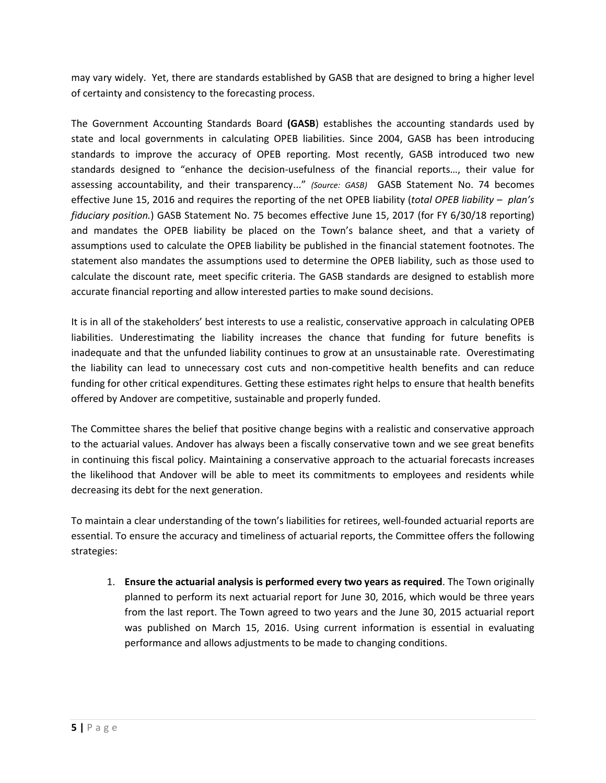may vary widely. Yet, there are standards established by GASB that are designed to bring a higher level of certainty and consistency to the forecasting process.

The Government Accounting Standards Board **(GASB**) establishes the accounting standards used by state and local governments in calculating OPEB liabilities. Since 2004, GASB has been introducing standards to improve the accuracy of OPEB reporting. Most recently, GASB introduced two new standards designed to "enhance the decision-usefulness of the financial reports…, their value for assessing accountability, and their transparency..." *(Source: GASB)* GASB Statement No. 74 becomes effective June 15, 2016 and requires the reporting of the net OPEB liability (*total OPEB liability – plan's fiduciary position.*) GASB Statement No. 75 becomes effective June 15, 2017 (for FY 6/30/18 reporting) and mandates the OPEB liability be placed on the Town's balance sheet, and that a variety of assumptions used to calculate the OPEB liability be published in the financial statement footnotes. The statement also mandates the assumptions used to determine the OPEB liability, such as those used to calculate the discount rate, meet specific criteria. The GASB standards are designed to establish more accurate financial reporting and allow interested parties to make sound decisions.

It is in all of the stakeholders' best interests to use a realistic, conservative approach in calculating OPEB liabilities. Underestimating the liability increases the chance that funding for future benefits is inadequate and that the unfunded liability continues to grow at an unsustainable rate. Overestimating the liability can lead to unnecessary cost cuts and non-competitive health benefits and can reduce funding for other critical expenditures. Getting these estimates right helps to ensure that health benefits offered by Andover are competitive, sustainable and properly funded.

The Committee shares the belief that positive change begins with a realistic and conservative approach to the actuarial values. Andover has always been a fiscally conservative town and we see great benefits in continuing this fiscal policy. Maintaining a conservative approach to the actuarial forecasts increases the likelihood that Andover will be able to meet its commitments to employees and residents while decreasing its debt for the next generation.

To maintain a clear understanding of the town's liabilities for retirees, well-founded actuarial reports are essential. To ensure the accuracy and timeliness of actuarial reports, the Committee offers the following strategies:

1. **Ensure the actuarial analysis is performed every two years as required**. The Town originally planned to perform its next actuarial report for June 30, 2016, which would be three years from the last report. The Town agreed to two years and the June 30, 2015 actuarial report was published on March 15, 2016. Using current information is essential in evaluating performance and allows adjustments to be made to changing conditions.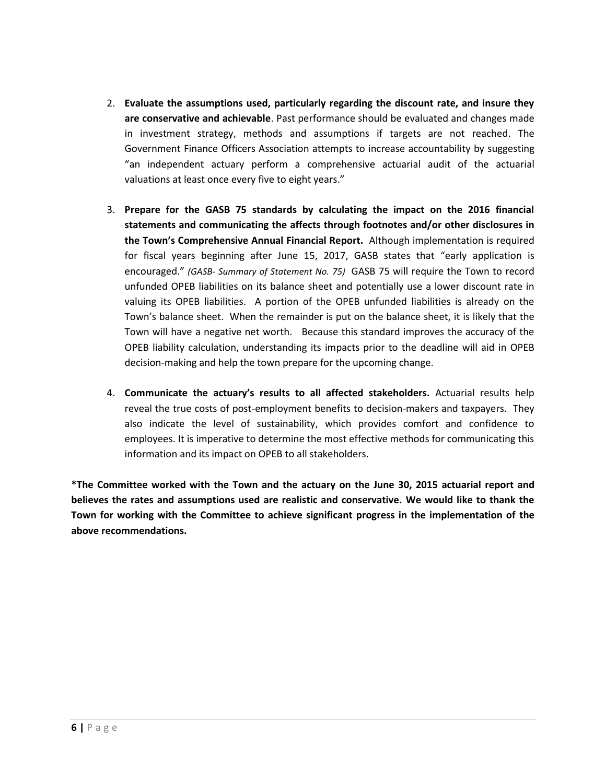- 2. **Evaluate the assumptions used, particularly regarding the discount rate, and insure they are conservative and achievable**. Past performance should be evaluated and changes made in investment strategy, methods and assumptions if targets are not reached. The Government Finance Officers Association attempts to increase accountability by suggesting "an independent actuary perform a comprehensive actuarial audit of the actuarial valuations at least once every five to eight years."
- 3. **Prepare for the GASB 75 standards by calculating the impact on the 2016 financial statements and communicating the affects through footnotes and/or other disclosures in the Town's Comprehensive Annual Financial Report.** Although implementation is required for fiscal years beginning after June 15, 2017, GASB states that "early application is encouraged." *(GASB- Summary of Statement No. 75)* GASB 75 will require the Town to record unfunded OPEB liabilities on its balance sheet and potentially use a lower discount rate in valuing its OPEB liabilities. A portion of the OPEB unfunded liabilities is already on the Town's balance sheet. When the remainder is put on the balance sheet, it is likely that the Town will have a negative net worth. Because this standard improves the accuracy of the OPEB liability calculation, understanding its impacts prior to the deadline will aid in OPEB decision-making and help the town prepare for the upcoming change.
- 4. **Communicate the actuary's results to all affected stakeholders.** Actuarial results help reveal the true costs of post-employment benefits to decision-makers and taxpayers. They also indicate the level of sustainability, which provides comfort and confidence to employees. It is imperative to determine the most effective methods for communicating this information and its impact on OPEB to all stakeholders.

**\*The Committee worked with the Town and the actuary on the June 30, 2015 actuarial report and believes the rates and assumptions used are realistic and conservative. We would like to thank the Town for working with the Committee to achieve significant progress in the implementation of the above recommendations.**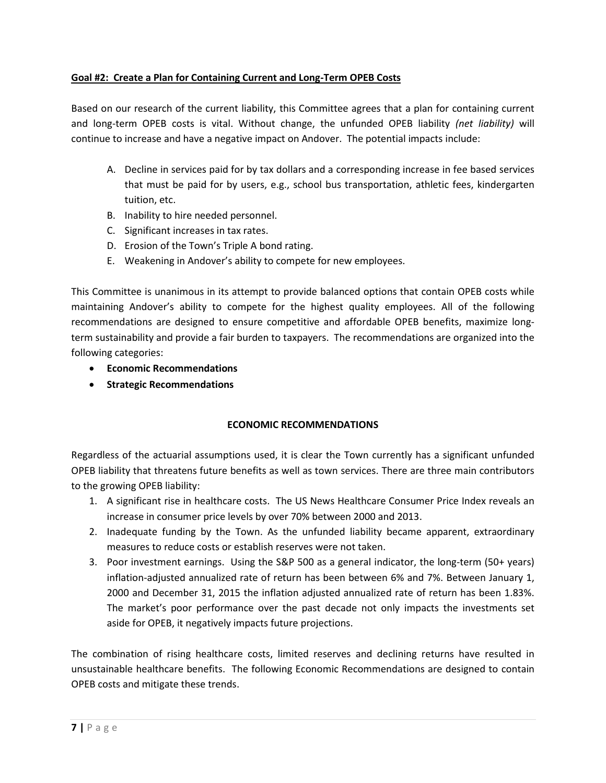### **Goal #2: Create a Plan for Containing Current and Long-Term OPEB Costs**

Based on our research of the current liability, this Committee agrees that a plan for containing current and long-term OPEB costs is vital. Without change, the unfunded OPEB liability *(net liability)* will continue to increase and have a negative impact on Andover. The potential impacts include:

- A. Decline in services paid for by tax dollars and a corresponding increase in fee based services that must be paid for by users, e.g., school bus transportation, athletic fees, kindergarten tuition, etc.
- B. Inability to hire needed personnel.
- C. Significant increases in tax rates.
- D. Erosion of the Town's Triple A bond rating.
- E. Weakening in Andover's ability to compete for new employees.

This Committee is unanimous in its attempt to provide balanced options that contain OPEB costs while maintaining Andover's ability to compete for the highest quality employees. All of the following recommendations are designed to ensure competitive and affordable OPEB benefits, maximize longterm sustainability and provide a fair burden to taxpayers. The recommendations are organized into the following categories:

- **Economic Recommendations**
- **Strategic Recommendations**

### **ECONOMIC RECOMMENDATIONS**

Regardless of the actuarial assumptions used, it is clear the Town currently has a significant unfunded OPEB liability that threatens future benefits as well as town services. There are three main contributors to the growing OPEB liability:

- 1. A significant rise in healthcare costs. The US News Healthcare Consumer Price Index reveals an increase in consumer price levels by over 70% between 2000 and 2013.
- 2. Inadequate funding by the Town. As the unfunded liability became apparent, extraordinary measures to reduce costs or establish reserves were not taken.
- 3. Poor investment earnings. Using the S&P 500 as a general indicator, the long-term (50+ years) inflation-adjusted annualized rate of return has been between 6% and 7%. Between January 1, 2000 and December 31, 2015 the inflation adjusted annualized rate of return has been 1.83%. The market's poor performance over the past decade not only impacts the investments set aside for OPEB, it negatively impacts future projections.

The combination of rising healthcare costs, limited reserves and declining returns have resulted in unsustainable healthcare benefits. The following Economic Recommendations are designed to contain OPEB costs and mitigate these trends.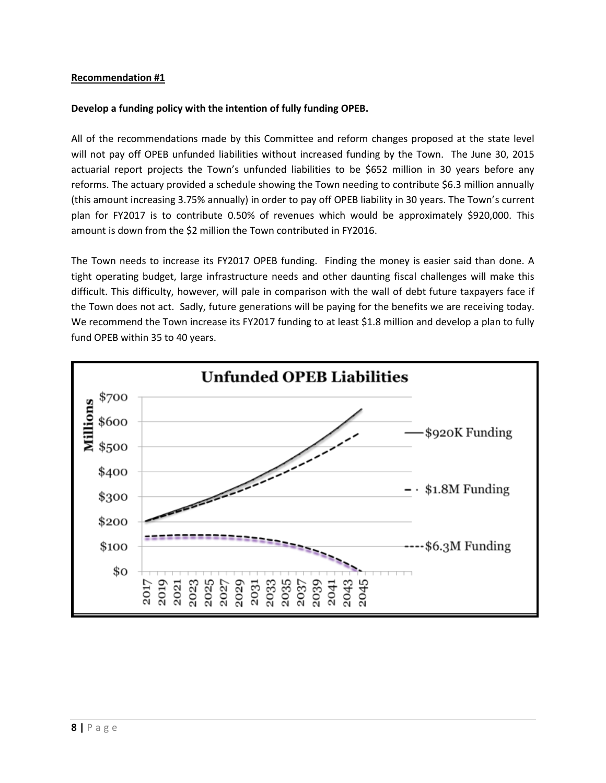#### **Develop a funding policy with the intention of fully funding OPEB.**

All of the recommendations made by this Committee and reform changes proposed at the state level will not pay off OPEB unfunded liabilities without increased funding by the Town. The June 30, 2015 actuarial report projects the Town's unfunded liabilities to be \$652 million in 30 years before any reforms. The actuary provided a schedule showing the Town needing to contribute \$6.3 million annually (this amount increasing 3.75% annually) in order to pay off OPEB liability in 30 years. The Town's current plan for FY2017 is to contribute 0.50% of revenues which would be approximately \$920,000. This amount is down from the \$2 million the Town contributed in FY2016.

The Town needs to increase its FY2017 OPEB funding. Finding the money is easier said than done. A tight operating budget, large infrastructure needs and other daunting fiscal challenges will make this difficult. This difficulty, however, will pale in comparison with the wall of debt future taxpayers face if the Town does not act. Sadly, future generations will be paying for the benefits we are receiving today. We recommend the Town increase its FY2017 funding to at least \$1.8 million and develop a plan to fully fund OPEB within 35 to 40 years.

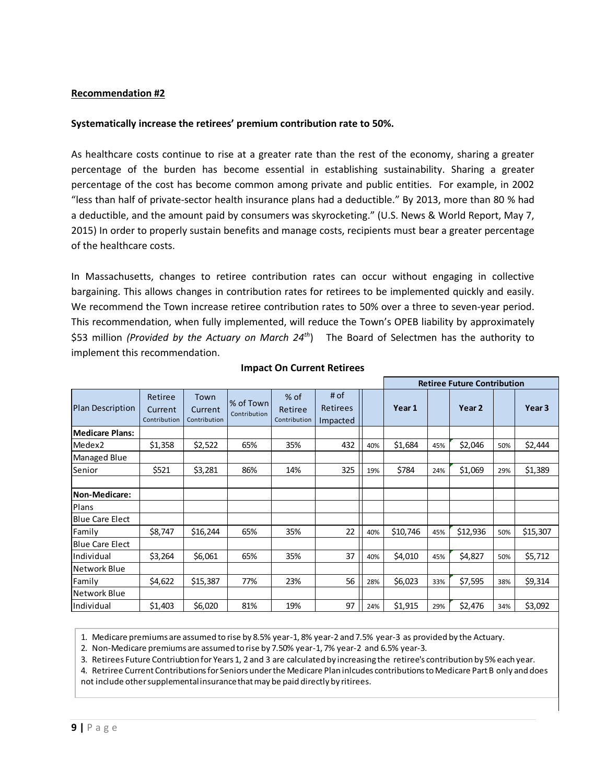#### **Systematically increase the retirees' premium contribution rate to 50%.**

As healthcare costs continue to rise at a greater rate than the rest of the economy, sharing a greater percentage of the burden has become essential in establishing sustainability. Sharing a greater percentage of the cost has become common among private and public entities. For example, in 2002 "less than half of private-sector health insurance plans had a deductible." By 2013, more than 80 % had a deductible, and the amount paid by consumers was skyrocketing." (U.S. News & World Report, May 7, 2015) In order to properly sustain benefits and manage costs, recipients must bear a greater percentage of the healthcare costs.

In Massachusetts, changes to retiree contribution rates can occur without engaging in collective bargaining. This allows changes in contribution rates for retirees to be implemented quickly and easily. We recommend the Town increase retiree contribution rates to 50% over a three to seven-year period. This recommendation, when fully implemented, will reduce the Town's OPEB liability by approximately \$53 million *(Provided by the Actuary on March 24<sup>th</sup>)* The Board of Selectmen has the authority to implement this recommendation.

|                         |                                    |                                 |                           |                                 |                              |     | <b>Retiree Future Contribution</b> |     |                   |     |                   |
|-------------------------|------------------------------------|---------------------------------|---------------------------|---------------------------------|------------------------------|-----|------------------------------------|-----|-------------------|-----|-------------------|
| <b>Plan Description</b> | Retiree<br>Current<br>Contribution | Town<br>Current<br>Contribution | % of Town<br>Contribution | % of<br>Retiree<br>Contribution | # of<br>Retirees<br>Impacted |     | Year 1                             |     | Year <sub>2</sub> |     | Year <sub>3</sub> |
| <b>Medicare Plans:</b>  |                                    |                                 |                           |                                 |                              |     |                                    |     |                   |     |                   |
| Medex2                  | \$1,358                            | \$2,522                         | 65%                       | 35%                             | 432                          | 40% | \$1,684                            | 45% | \$2,046           | 50% | \$2,444           |
| Managed Blue            |                                    |                                 |                           |                                 |                              |     |                                    |     |                   |     |                   |
| Senior                  | \$521                              | \$3,281                         | 86%                       | 14%                             | 325                          | 19% | \$784                              | 24% | \$1,069           | 29% | \$1,389           |
|                         |                                    |                                 |                           |                                 |                              |     |                                    |     |                   |     |                   |
| Non-Medicare:           |                                    |                                 |                           |                                 |                              |     |                                    |     |                   |     |                   |
| Plans                   |                                    |                                 |                           |                                 |                              |     |                                    |     |                   |     |                   |
| <b>Blue Care Elect</b>  |                                    |                                 |                           |                                 |                              |     |                                    |     |                   |     |                   |
| Family                  | \$8,747                            | \$16,244                        | 65%                       | 35%                             | 22                           | 40% | \$10,746                           | 45% | \$12,936          | 50% | \$15,307          |
| Blue Care Elect         |                                    |                                 |                           |                                 |                              |     |                                    |     |                   |     |                   |
| Individual              | \$3,264                            | \$6,061                         | 65%                       | 35%                             | 37                           | 40% | \$4,010                            | 45% | \$4,827           | 50% | \$5,712           |
| Network Blue            |                                    |                                 |                           |                                 |                              |     |                                    |     |                   |     |                   |
| Family                  | \$4,622                            | \$15,387                        | 77%                       | 23%                             | 56                           | 28% | \$6,023                            | 33% | \$7,595           | 38% | \$9,314           |
| Network Blue            |                                    |                                 |                           |                                 |                              |     |                                    |     |                   |     |                   |
| Individual              | \$1,403                            | \$6,020                         | 81%                       | 19%                             | 97                           | 24% | \$1,915                            | 29% | \$2,476           | 34% | \$3,092           |

#### **Impact On Current Retirees**

1. Medicare premiums are assumed to rise by 8.5% year-1, 8% year-2 and 7.5% year-3 as provided by the Actuary.

2. Non-Medicare premiums are assumed to rise by 7.50% year-1, 7% year-2 and 6.5% year-3.

3. Retirees Future Contriubtion for Years 1, 2 and 3 are calculated by increasing the retiree's contribution by 5% each year.

4. Retriree Current Contributions for Seniors under the Medicare Plan inlcudes contributions to Medicare Part B only and does not include other supplemental insurance that may be paid directly by ritirees.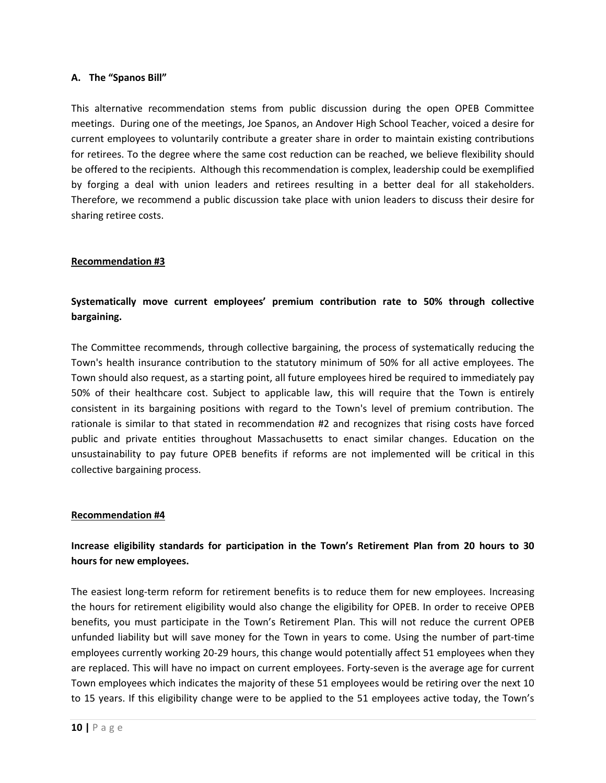#### **A. The "Spanos Bill"**

This alternative recommendation stems from public discussion during the open OPEB Committee meetings. During one of the meetings, Joe Spanos, an Andover High School Teacher, voiced a desire for current employees to voluntarily contribute a greater share in order to maintain existing contributions for retirees. To the degree where the same cost reduction can be reached, we believe flexibility should be offered to the recipients. Although this recommendation is complex, leadership could be exemplified by forging a deal with union leaders and retirees resulting in a better deal for all stakeholders. Therefore, we recommend a public discussion take place with union leaders to discuss their desire for sharing retiree costs.

#### **Recommendation #3**

## **Systematically move current employees' premium contribution rate to 50% through collective bargaining.**

The Committee recommends, through collective bargaining, the process of systematically reducing the Town's health insurance contribution to the statutory minimum of 50% for all active employees. The Town should also request, as a starting point, all future employees hired be required to immediately pay 50% of their healthcare cost. Subject to applicable law, this will require that the Town is entirely consistent in its bargaining positions with regard to the Town's level of premium contribution. The rationale is similar to that stated in recommendation #2 and recognizes that rising costs have forced public and private entities throughout Massachusetts to enact similar changes. Education on the unsustainability to pay future OPEB benefits if reforms are not implemented will be critical in this collective bargaining process.

#### **Recommendation #4**

### **Increase eligibility standards for participation in the Town's Retirement Plan from 20 hours to 30 hours for new employees.**

The easiest long-term reform for retirement benefits is to reduce them for new employees. Increasing the hours for retirement eligibility would also change the eligibility for OPEB. In order to receive OPEB benefits, you must participate in the Town's Retirement Plan. This will not reduce the current OPEB unfunded liability but will save money for the Town in years to come. Using the number of part-time employees currently working 20-29 hours, this change would potentially affect 51 employees when they are replaced. This will have no impact on current employees. Forty-seven is the average age for current Town employees which indicates the majority of these 51 employees would be retiring over the next 10 to 15 years. If this eligibility change were to be applied to the 51 employees active today, the Town's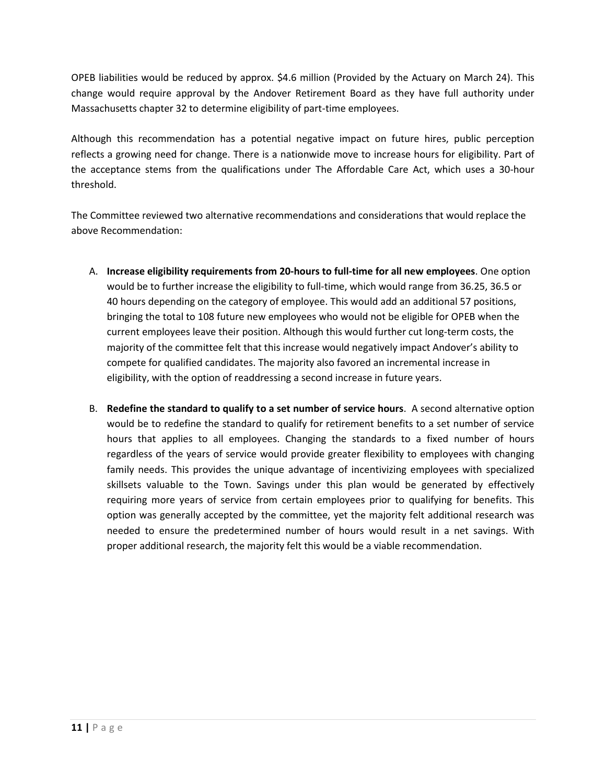OPEB liabilities would be reduced by approx. \$4.6 million (Provided by the Actuary on March 24). This change would require approval by the Andover Retirement Board as they have full authority under Massachusetts chapter 32 to determine eligibility of part-time employees.

Although this recommendation has a potential negative impact on future hires, public perception reflects a growing need for change. There is a nationwide move to increase hours for eligibility. Part of the acceptance stems from the qualifications under The Affordable Care Act, which uses a 30-hour threshold.

The Committee reviewed two alternative recommendations and considerations that would replace the above Recommendation:

- A. **Increase eligibility requirements from 20-hours to full-time for all new employees**. One option would be to further increase the eligibility to full-time, which would range from 36.25, 36.5 or 40 hours depending on the category of employee. This would add an additional 57 positions, bringing the total to 108 future new employees who would not be eligible for OPEB when the current employees leave their position. Although this would further cut long-term costs, the majority of the committee felt that this increase would negatively impact Andover's ability to compete for qualified candidates. The majority also favored an incremental increase in eligibility, with the option of readdressing a second increase in future years.
- B. **Redefine the standard to qualify to a set number of service hours**. A second alternative option would be to redefine the standard to qualify for retirement benefits to a set number of service hours that applies to all employees. Changing the standards to a fixed number of hours regardless of the years of service would provide greater flexibility to employees with changing family needs. This provides the unique advantage of incentivizing employees with specialized skillsets valuable to the Town. Savings under this plan would be generated by effectively requiring more years of service from certain employees prior to qualifying for benefits. This option was generally accepted by the committee, yet the majority felt additional research was needed to ensure the predetermined number of hours would result in a net savings. With proper additional research, the majority felt this would be a viable recommendation.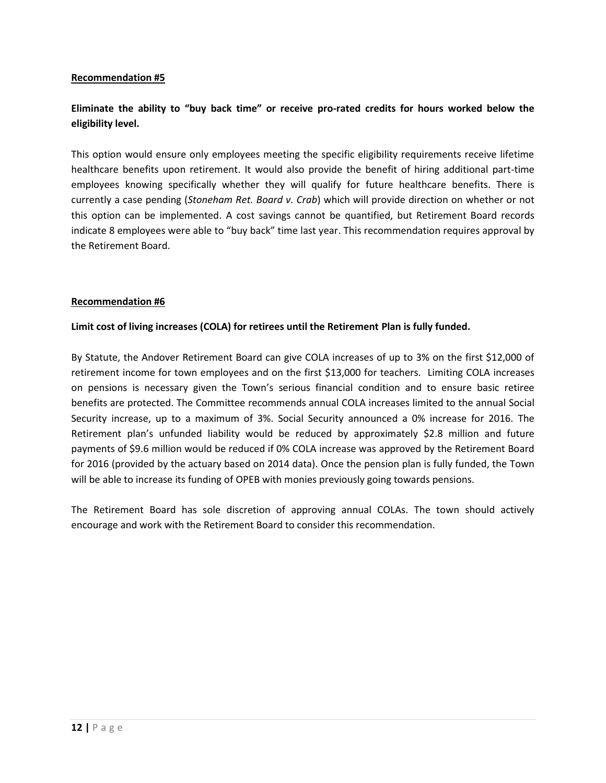## **Eliminate the ability to "buy back time" or receive pro-rated credits for hours worked below the eligibility level.**

This option would ensure only employees meeting the specific eligibility requirements receive lifetime healthcare benefits upon retirement. It would also provide the benefit of hiring additional part-time employees knowing specifically whether they will qualify for future healthcare benefits. There is currently a case pending (*Stoneham Ret. Board v. Crab*) which will provide direction on whether or not this option can be implemented. A cost savings cannot be quantified, but Retirement Board records indicate 8 employees were able to "buy back" time last year. This recommendation requires approval by the Retirement Board.

#### **Recommendation #6**

#### **Limit cost of living increases (COLA) for retirees until the Retirement Plan is fully funded.**

By Statute, the Andover Retirement Board can give COLA increases of up to 3% on the first \$12,000 of retirement income for town employees and on the first \$13,000 for teachers. Limiting COLA increases on pensions is necessary given the Town's serious financial condition and to ensure basic retiree benefits are protected. The Committee recommends annual COLA increases limited to the annual Social Security increase, up to a maximum of 3%. Social Security announced a 0% increase for 2016. The Retirement plan's unfunded liability would be reduced by approximately \$2.8 million and future payments of \$9.6 million would be reduced if 0% COLA increase was approved by the Retirement Board for 2016 (provided by the actuary based on 2014 data). Once the pension plan is fully funded, the Town will be able to increase its funding of OPEB with monies previously going towards pensions.

The Retirement Board has sole discretion of approving annual COLAs. The town should actively encourage and work with the Retirement Board to consider this recommendation.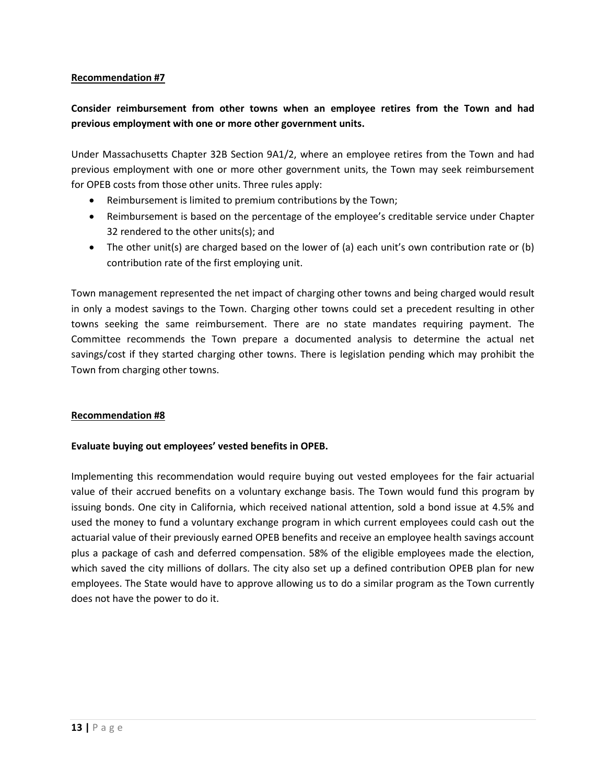## **Consider reimbursement from other towns when an employee retires from the Town and had previous employment with one or more other government units.**

Under Massachusetts Chapter 32B Section 9A1/2, where an employee retires from the Town and had previous employment with one or more other government units, the Town may seek reimbursement for OPEB costs from those other units. Three rules apply:

- Reimbursement is limited to premium contributions by the Town;
- Reimbursement is based on the percentage of the employee's creditable service under Chapter 32 rendered to the other units(s); and
- The other unit(s) are charged based on the lower of (a) each unit's own contribution rate or (b) contribution rate of the first employing unit.

Town management represented the net impact of charging other towns and being charged would result in only a modest savings to the Town. Charging other towns could set a precedent resulting in other towns seeking the same reimbursement. There are no state mandates requiring payment. The Committee recommends the Town prepare a documented analysis to determine the actual net savings/cost if they started charging other towns. There is legislation pending which may prohibit the Town from charging other towns.

#### **Recommendation #8**

#### **Evaluate buying out employees' vested benefits in OPEB.**

Implementing this recommendation would require buying out vested employees for the fair actuarial value of their accrued benefits on a voluntary exchange basis. The Town would fund this program by issuing bonds. One city in California, which received national attention, sold a bond issue at 4.5% and used the money to fund a voluntary exchange program in which current employees could cash out the actuarial value of their previously earned OPEB benefits and receive an employee health savings account plus a package of cash and deferred compensation. 58% of the eligible employees made the election, which saved the city millions of dollars. The city also set up a defined contribution OPEB plan for new employees. The State would have to approve allowing us to do a similar program as the Town currently does not have the power to do it.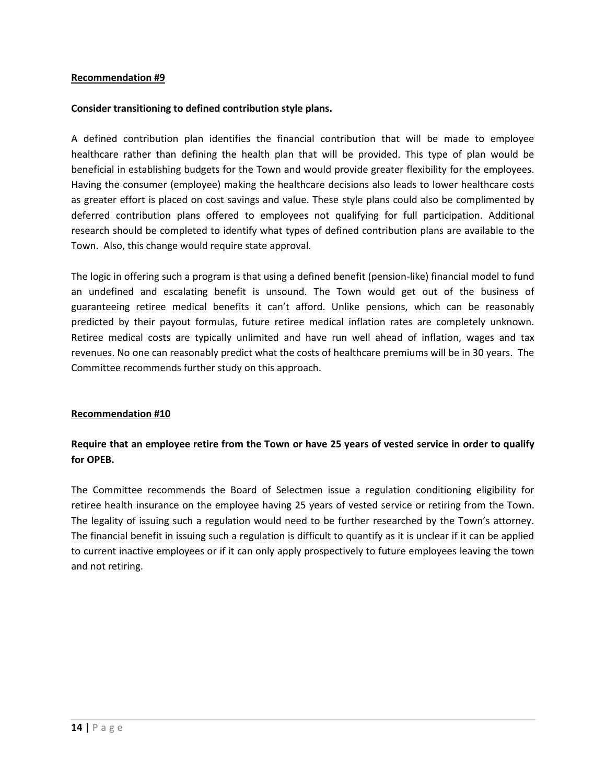#### **Consider transitioning to defined contribution style plans.**

A defined contribution plan identifies the financial contribution that will be made to employee healthcare rather than defining the health plan that will be provided. This type of plan would be beneficial in establishing budgets for the Town and would provide greater flexibility for the employees. Having the consumer (employee) making the healthcare decisions also leads to lower healthcare costs as greater effort is placed on cost savings and value. These style plans could also be complimented by deferred contribution plans offered to employees not qualifying for full participation. Additional research should be completed to identify what types of defined contribution plans are available to the Town. Also, this change would require state approval.

The logic in offering such a program is that using a defined benefit (pension-like) financial model to fund an undefined and escalating benefit is unsound. The Town would get out of the business of guaranteeing retiree medical benefits it can't afford. Unlike pensions, which can be reasonably predicted by their payout formulas, future retiree medical inflation rates are completely unknown. Retiree medical costs are typically unlimited and have run well ahead of inflation, wages and tax revenues. No one can reasonably predict what the costs of healthcare premiums will be in 30 years. The Committee recommends further study on this approach.

#### **Recommendation #10**

### **Require that an employee retire from the Town or have 25 years of vested service in order to qualify for OPEB.**

The Committee recommends the Board of Selectmen issue a regulation conditioning eligibility for retiree health insurance on the employee having 25 years of vested service or retiring from the Town. The legality of issuing such a regulation would need to be further researched by the Town's attorney. The financial benefit in issuing such a regulation is difficult to quantify as it is unclear if it can be applied to current inactive employees or if it can only apply prospectively to future employees leaving the town and not retiring.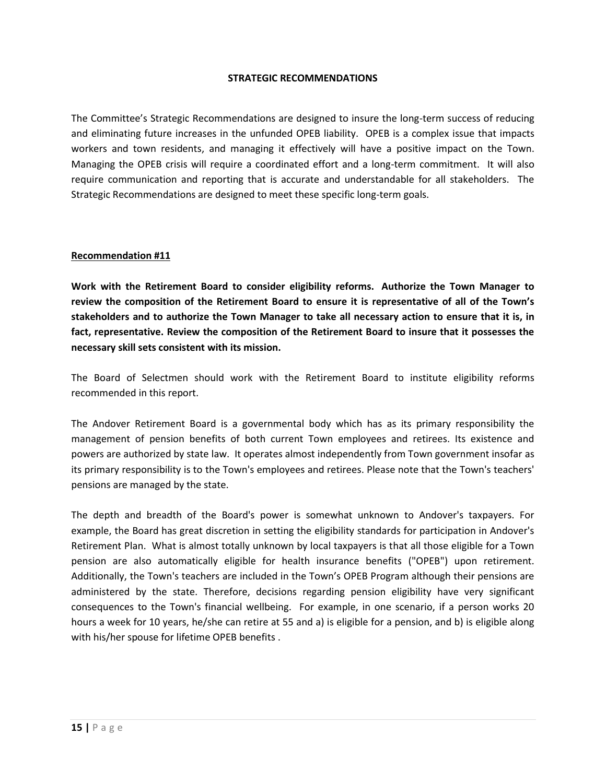#### **STRATEGIC RECOMMENDATIONS**

The Committee's Strategic Recommendations are designed to insure the long-term success of reducing and eliminating future increases in the unfunded OPEB liability. OPEB is a complex issue that impacts workers and town residents, and managing it effectively will have a positive impact on the Town. Managing the OPEB crisis will require a coordinated effort and a long-term commitment. It will also require communication and reporting that is accurate and understandable for all stakeholders. The Strategic Recommendations are designed to meet these specific long-term goals.

#### **Recommendation #11**

**Work with the Retirement Board to consider eligibility reforms. Authorize the Town Manager to review the composition of the Retirement Board to ensure it is representative of all of the Town's stakeholders and to authorize the Town Manager to take all necessary action to ensure that it is, in fact, representative. Review the composition of the Retirement Board to insure that it possesses the necessary skill sets consistent with its mission.**

The Board of Selectmen should work with the Retirement Board to institute eligibility reforms recommended in this report.

The Andover Retirement Board is a governmental body which has as its primary responsibility the management of pension benefits of both current Town employees and retirees. Its existence and powers are authorized by state law. It operates almost independently from Town government insofar as its primary responsibility is to the Town's employees and retirees. Please note that the Town's teachers' pensions are managed by the state.

The depth and breadth of the Board's power is somewhat unknown to Andover's taxpayers. For example, the Board has great discretion in setting the eligibility standards for participation in Andover's Retirement Plan. What is almost totally unknown by local taxpayers is that all those eligible for a Town pension are also automatically eligible for health insurance benefits ("OPEB") upon retirement. Additionally, the Town's teachers are included in the Town's OPEB Program although their pensions are administered by the state. Therefore, decisions regarding pension eligibility have very significant consequences to the Town's financial wellbeing. For example, in one scenario, if a person works 20 hours a week for 10 years, he/she can retire at 55 and a) is eligible for a pension, and b) is eligible along with his/her spouse for lifetime OPEB benefits .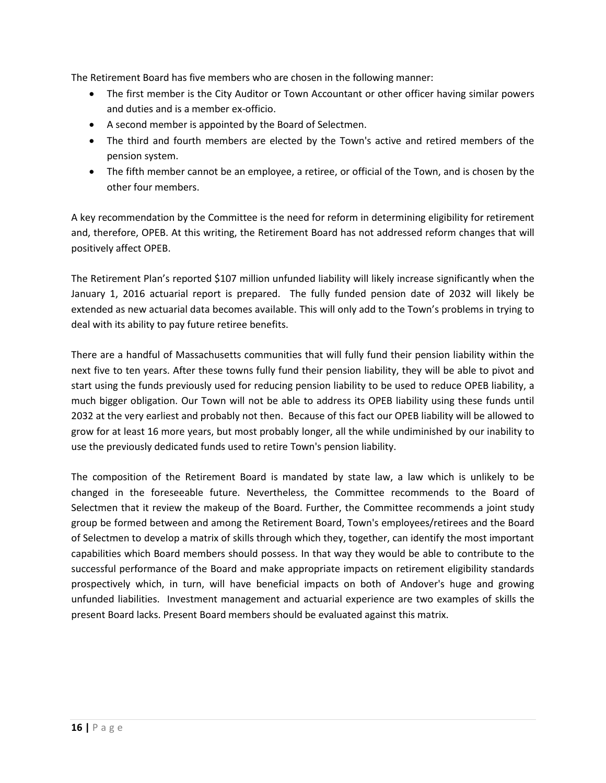The Retirement Board has five members who are chosen in the following manner:

- The first member is the City Auditor or Town Accountant or other officer having similar powers and duties and is a member ex-officio.
- A second member is appointed by the Board of Selectmen.
- The third and fourth members are elected by the Town's active and retired members of the pension system.
- The fifth member cannot be an employee, a retiree, or official of the Town, and is chosen by the other four members.

A key recommendation by the Committee is the need for reform in determining eligibility for retirement and, therefore, OPEB. At this writing, the Retirement Board has not addressed reform changes that will positively affect OPEB.

The Retirement Plan's reported \$107 million unfunded liability will likely increase significantly when the January 1, 2016 actuarial report is prepared. The fully funded pension date of 2032 will likely be extended as new actuarial data becomes available. This will only add to the Town's problems in trying to deal with its ability to pay future retiree benefits.

There are a handful of Massachusetts communities that will fully fund their pension liability within the next five to ten years. After these towns fully fund their pension liability, they will be able to pivot and start using the funds previously used for reducing pension liability to be used to reduce OPEB liability, a much bigger obligation. Our Town will not be able to address its OPEB liability using these funds until 2032 at the very earliest and probably not then. Because of this fact our OPEB liability will be allowed to grow for at least 16 more years, but most probably longer, all the while undiminished by our inability to use the previously dedicated funds used to retire Town's pension liability.

The composition of the Retirement Board is mandated by state law, a law which is unlikely to be changed in the foreseeable future. Nevertheless, the Committee recommends to the Board of Selectmen that it review the makeup of the Board. Further, the Committee recommends a joint study group be formed between and among the Retirement Board, Town's employees/retirees and the Board of Selectmen to develop a matrix of skills through which they, together, can identify the most important capabilities which Board members should possess. In that way they would be able to contribute to the successful performance of the Board and make appropriate impacts on retirement eligibility standards prospectively which, in turn, will have beneficial impacts on both of Andover's huge and growing unfunded liabilities. Investment management and actuarial experience are two examples of skills the present Board lacks. Present Board members should be evaluated against this matrix.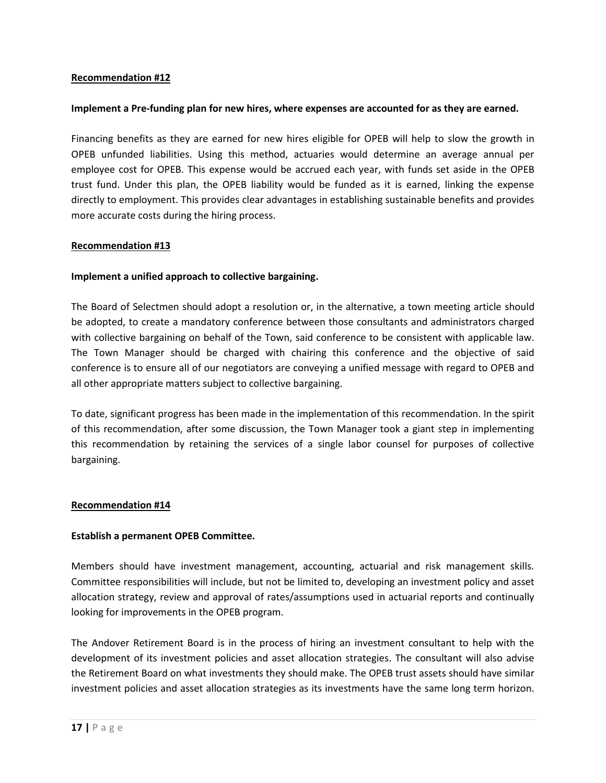#### **Implement a Pre-funding plan for new hires, where expenses are accounted for as they are earned.**

Financing benefits as they are earned for new hires eligible for OPEB will help to slow the growth in OPEB unfunded liabilities. Using this method, actuaries would determine an average annual per employee cost for OPEB. This expense would be accrued each year, with funds set aside in the OPEB trust fund. Under this plan, the OPEB liability would be funded as it is earned, linking the expense directly to employment. This provides clear advantages in establishing sustainable benefits and provides more accurate costs during the hiring process.

#### **Recommendation #13**

#### **Implement a unified approach to collective bargaining.**

The Board of Selectmen should adopt a resolution or, in the alternative, a town meeting article should be adopted, to create a mandatory conference between those consultants and administrators charged with collective bargaining on behalf of the Town, said conference to be consistent with applicable law. The Town Manager should be charged with chairing this conference and the objective of said conference is to ensure all of our negotiators are conveying a unified message with regard to OPEB and all other appropriate matters subject to collective bargaining.

To date, significant progress has been made in the implementation of this recommendation. In the spirit of this recommendation, after some discussion, the Town Manager took a giant step in implementing this recommendation by retaining the services of a single labor counsel for purposes of collective bargaining.

#### **Recommendation #14**

#### **Establish a permanent OPEB Committee.**

Members should have investment management, accounting, actuarial and risk management skills. Committee responsibilities will include, but not be limited to, developing an investment policy and asset allocation strategy, review and approval of rates/assumptions used in actuarial reports and continually looking for improvements in the OPEB program.

The Andover Retirement Board is in the process of hiring an investment consultant to help with the development of its investment policies and asset allocation strategies. The consultant will also advise the Retirement Board on what investments they should make. The OPEB trust assets should have similar investment policies and asset allocation strategies as its investments have the same long term horizon.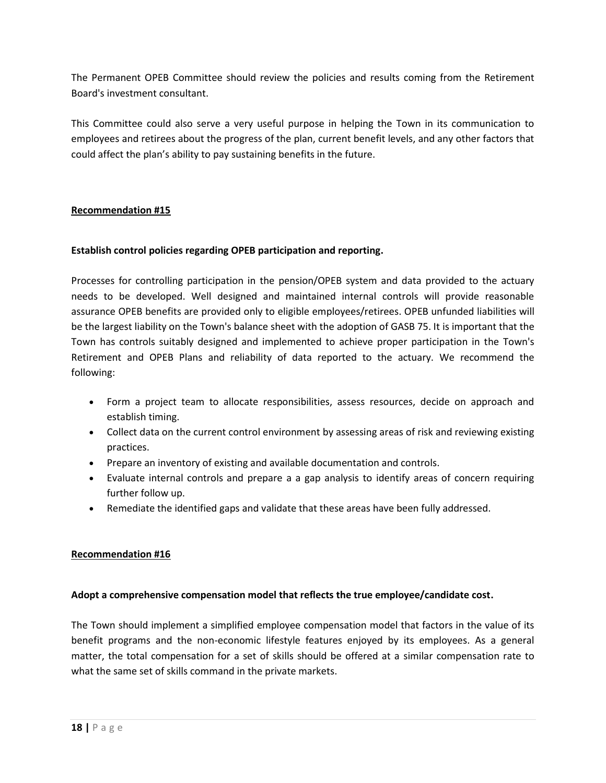The Permanent OPEB Committee should review the policies and results coming from the Retirement Board's investment consultant.

This Committee could also serve a very useful purpose in helping the Town in its communication to employees and retirees about the progress of the plan, current benefit levels, and any other factors that could affect the plan's ability to pay sustaining benefits in the future.

#### **Recommendation #15**

#### **Establish control policies regarding OPEB participation and reporting.**

Processes for controlling participation in the pension/OPEB system and data provided to the actuary needs to be developed. Well designed and maintained internal controls will provide reasonable assurance OPEB benefits are provided only to eligible employees/retirees. OPEB unfunded liabilities will be the largest liability on the Town's balance sheet with the adoption of GASB 75. It is important that the Town has controls suitably designed and implemented to achieve proper participation in the Town's Retirement and OPEB Plans and reliability of data reported to the actuary. We recommend the following:

- Form a project team to allocate responsibilities, assess resources, decide on approach and establish timing.
- Collect data on the current control environment by assessing areas of risk and reviewing existing practices.
- Prepare an inventory of existing and available documentation and controls.
- Evaluate internal controls and prepare a a gap analysis to identify areas of concern requiring further follow up.
- Remediate the identified gaps and validate that these areas have been fully addressed.

#### **Recommendation #16**

#### **Adopt a comprehensive compensation model that reflects the true employee/candidate cost.**

The Town should implement a simplified employee compensation model that factors in the value of its benefit programs and the non-economic lifestyle features enjoyed by its employees. As a general matter, the total compensation for a set of skills should be offered at a similar compensation rate to what the same set of skills command in the private markets.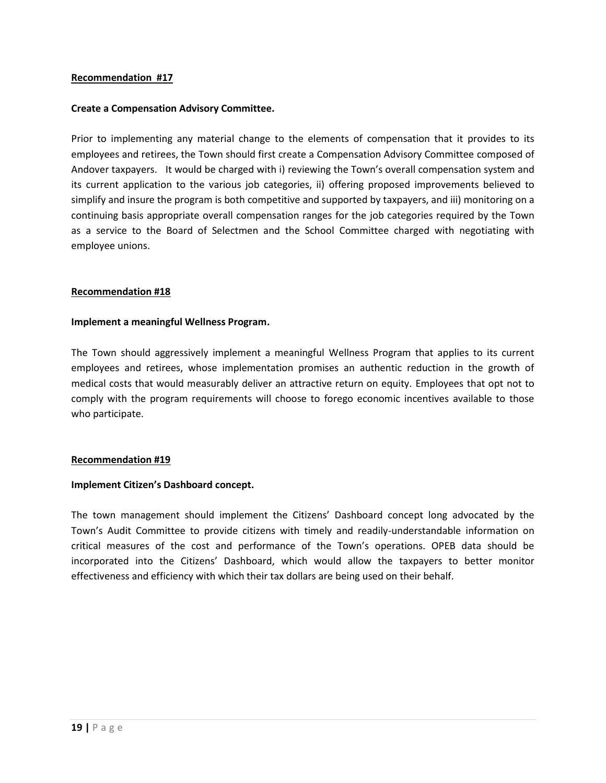#### **Create a Compensation Advisory Committee.**

Prior to implementing any material change to the elements of compensation that it provides to its employees and retirees, the Town should first create a Compensation Advisory Committee composed of Andover taxpayers. It would be charged with i) reviewing the Town's overall compensation system and its current application to the various job categories, ii) offering proposed improvements believed to simplify and insure the program is both competitive and supported by taxpayers, and iii) monitoring on a continuing basis appropriate overall compensation ranges for the job categories required by the Town as a service to the Board of Selectmen and the School Committee charged with negotiating with employee unions.

#### **Recommendation #18**

#### **Implement a meaningful Wellness Program.**

The Town should aggressively implement a meaningful Wellness Program that applies to its current employees and retirees, whose implementation promises an authentic reduction in the growth of medical costs that would measurably deliver an attractive return on equity. Employees that opt not to comply with the program requirements will choose to forego economic incentives available to those who participate.

#### **Recommendation #19**

#### **Implement Citizen's Dashboard concept.**

The town management should implement the Citizens' Dashboard concept long advocated by the Town's Audit Committee to provide citizens with timely and readily-understandable information on critical measures of the cost and performance of the Town's operations. OPEB data should be incorporated into the Citizens' Dashboard, which would allow the taxpayers to better monitor effectiveness and efficiency with which their tax dollars are being used on their behalf.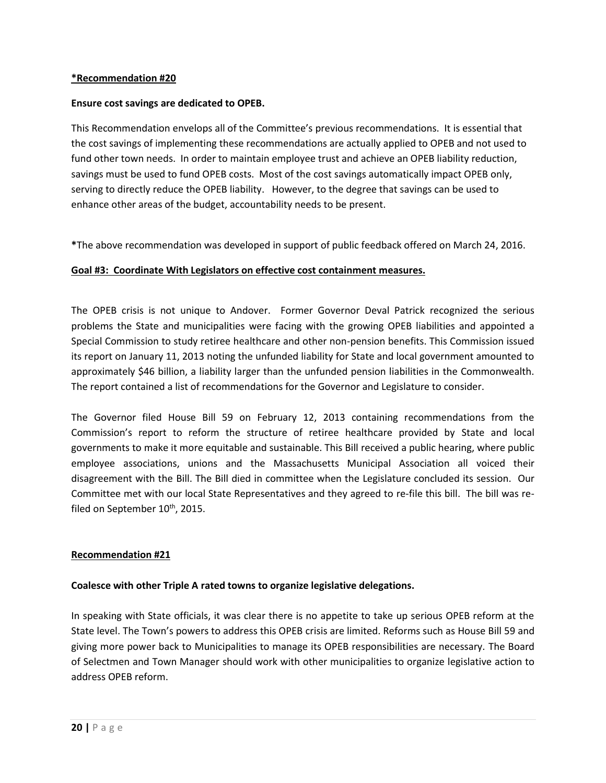#### **Ensure cost savings are dedicated to OPEB.**

This Recommendation envelops all of the Committee's previous recommendations. It is essential that the cost savings of implementing these recommendations are actually applied to OPEB and not used to fund other town needs. In order to maintain employee trust and achieve an OPEB liability reduction, savings must be used to fund OPEB costs. Most of the cost savings automatically impact OPEB only, serving to directly reduce the OPEB liability. However, to the degree that savings can be used to enhance other areas of the budget, accountability needs to be present.

**\***The above recommendation was developed in support of public feedback offered on March 24, 2016.

#### **Goal #3: Coordinate With Legislators on effective cost containment measures.**

The OPEB crisis is not unique to Andover. Former Governor Deval Patrick recognized the serious problems the State and municipalities were facing with the growing OPEB liabilities and appointed a Special Commission to study retiree healthcare and other non-pension benefits. This Commission issued its report on January 11, 2013 noting the unfunded liability for State and local government amounted to approximately \$46 billion, a liability larger than the unfunded pension liabilities in the Commonwealth. The report contained a list of recommendations for the Governor and Legislature to consider.

The Governor filed House Bill 59 on February 12, 2013 containing recommendations from the Commission's report to reform the structure of retiree healthcare provided by State and local governments to make it more equitable and sustainable. This Bill received a public hearing, where public employee associations, unions and the Massachusetts Municipal Association all voiced their disagreement with the Bill. The Bill died in committee when the Legislature concluded its session. Our Committee met with our local State Representatives and they agreed to re-file this bill. The bill was refiled on September  $10^{th}$ , 2015.

#### **Recommendation #21**

#### **Coalesce with other Triple A rated towns to organize legislative delegations.**

In speaking with State officials, it was clear there is no appetite to take up serious OPEB reform at the State level. The Town's powers to address this OPEB crisis are limited. Reforms such as House Bill 59 and giving more power back to Municipalities to manage its OPEB responsibilities are necessary. The Board of Selectmen and Town Manager should work with other municipalities to organize legislative action to address OPEB reform.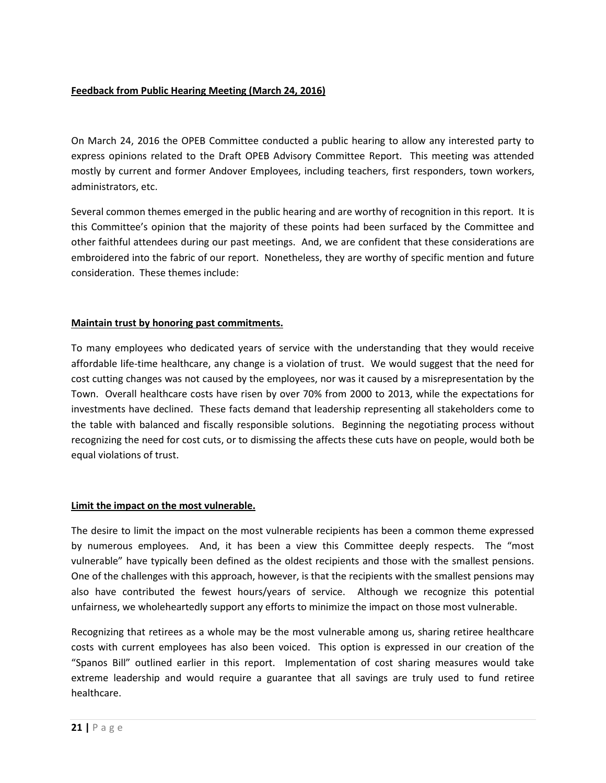#### **Feedback from Public Hearing Meeting (March 24, 2016)**

On March 24, 2016 the OPEB Committee conducted a public hearing to allow any interested party to express opinions related to the Draft OPEB Advisory Committee Report. This meeting was attended mostly by current and former Andover Employees, including teachers, first responders, town workers, administrators, etc.

Several common themes emerged in the public hearing and are worthy of recognition in this report. It is this Committee's opinion that the majority of these points had been surfaced by the Committee and other faithful attendees during our past meetings. And, we are confident that these considerations are embroidered into the fabric of our report. Nonetheless, they are worthy of specific mention and future consideration. These themes include:

#### **Maintain trust by honoring past commitments.**

To many employees who dedicated years of service with the understanding that they would receive affordable life-time healthcare, any change is a violation of trust. We would suggest that the need for cost cutting changes was not caused by the employees, nor was it caused by a misrepresentation by the Town. Overall healthcare costs have risen by over 70% from 2000 to 2013, while the expectations for investments have declined. These facts demand that leadership representing all stakeholders come to the table with balanced and fiscally responsible solutions. Beginning the negotiating process without recognizing the need for cost cuts, or to dismissing the affects these cuts have on people, would both be equal violations of trust.

#### **Limit the impact on the most vulnerable.**

The desire to limit the impact on the most vulnerable recipients has been a common theme expressed by numerous employees. And, it has been a view this Committee deeply respects. The "most vulnerable" have typically been defined as the oldest recipients and those with the smallest pensions. One of the challenges with this approach, however, is that the recipients with the smallest pensions may also have contributed the fewest hours/years of service. Although we recognize this potential unfairness, we wholeheartedly support any efforts to minimize the impact on those most vulnerable.

Recognizing that retirees as a whole may be the most vulnerable among us, sharing retiree healthcare costs with current employees has also been voiced. This option is expressed in our creation of the "Spanos Bill" outlined earlier in this report. Implementation of cost sharing measures would take extreme leadership and would require a guarantee that all savings are truly used to fund retiree healthcare.